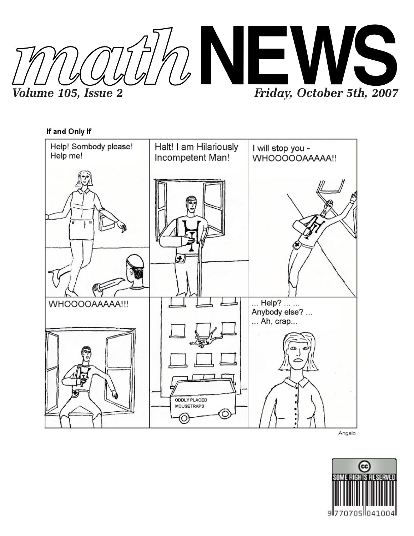



Angelo

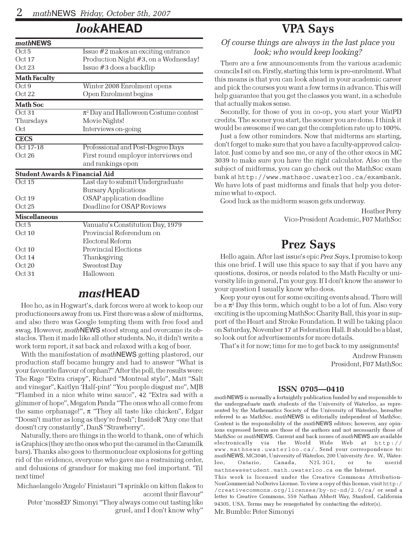## look**AHEAD**

| mathNEWS                                  |                                           |
|-------------------------------------------|-------------------------------------------|
| Oct 5                                     | Issue $#2$ makes an exciting entrance     |
| Oct17                                     | Production Night #3, on a Wednesday!      |
| Oct23                                     | Issue #3 does a backflip                  |
| <b>Math Faculty</b>                       |                                           |
| $\overline{Oct9}$                         | Winter 2008 Enrolment opens               |
| Oct22                                     | Open Enrolment begins                     |
| <b>Math Soc</b>                           |                                           |
| Oct31                                     | $\pi^2$ Day and Halloween Costume contest |
| Thursdays                                 | Movie Nights!                             |
| Oct                                       | Interviews on-going                       |
| <b>CECS</b>                               |                                           |
| $Oct$ 17-18                               | Professional and Post-Degree Days         |
| Oct26                                     | First round employer interviews end       |
|                                           | and rankings open                         |
| <b>Student Awards &amp; Financial Aid</b> |                                           |
| Oct15                                     | Last day to submit Undergraduate          |
|                                           | <b>Bursary Applications</b>               |
| Oct 19                                    | OSAP application deadline                 |
| Oct25                                     | Deadline for OSAP Reviews                 |
| <b>Miscellaneous</b>                      |                                           |
| $\overline{Oct5}$                         | Vanuatu's Constitution Day, 1979          |
| Oct 10                                    | Provincial Referendum on                  |
|                                           | Electoral Reform                          |
| Oct 10                                    | Provincial Elections                      |
| Oct14                                     | Thanksgiving                              |
| Oct 20                                    | <b>Sweetest Day</b>                       |
| Oct31                                     | Halloween                                 |
|                                           |                                           |

## mast**HEAD**

Hee ho, as in Hogwart's, dark forces were at work to keep our productioneers away from us. First there was a slew of midterms, and also there was Google tempting them with free food and swag. However, mathNEWS stood strong and overcame its obstacles. Then it made like all other students. No, it didn't write a work term report, it sat back and relaxed with a keg of beer.

With the manifestation of mathNEWS getting plastered, our production staff became hungry and had to answer "What is your favourite flavour of orphan?" After the poll, the results were: The Rage "Extra crispy", Richard "Montreal style", Matt "Salt and vinegar", Kaitlyn 'Half-pint' "You people disgust me", MJB "Flambed in a nice white wine sauce", 42 "Extra sad with a glimmer of hope", Megaton Panda "The ones who all come from the same orphanage!",  $\pi$  "They all taste like chicken", Edgar "Doesn't matter as long as they're fresh"; InsideR "Any one that doesn't cry constantly", DanS "Strawberry".

Naturally, there are things in the world to thank, one of which is Graphics (they are the ones who put the caramel in the Caramilk bars). Thanks also goes to thermonuclear explosions for getting rid of the evidence, everyone who gave me a restraining order, and delusions of granduer for making me feel important. 'Til next time!

Michaelangelo 'Angelo' Finistauri "I sprinkle on kitten flakes to

accent their flavour" Peter 'mossED' Simonyi "They always come out tasting like gruel, and I don't know why"

## VPA Says

### Of course things are always in the last place you look; who would keep looking?

There are a few announcements from the various academic councils I sit on. Firstly, starting this term is pre-enrolment. What this means is that you can look ahead in your academic career and pick the courses you want a few terms in advance. This will help guarantee that you get the classes you want, in a schedule that actually makes sense.

Secondly, for those of you in co-op, you start your WatPD credits. The sooner you start, the sooner you are done. I think it would be awesome if we can get the completion rate up to 100%.

Just a few other reminders. Now that midterms are starting, don't forget to make sure that you have a faculty-approved calculator. Just come by and see me, or any of the other execs in MC 3039 to make sure you have the right calculator. Also on the subject of midterms, you can go check out the MathSoc exam bank at http://www.mathsoc.uwaterloo.ca/exambank. We have lots of past midterms and finals that help you determine what to expect.

Good luck as the midterm season gets underway.

Heather Perry Vice-President Academic, F07 MathSoc

# Prez Says

Hello again. After last issue's epic Prez Says, I promise to keep this one brief. I will use this space to say that if you have any questions, desires, or needs related to the Math Faculty or university life in general, I'm your guy. If I don't know the answer to your question I usually know who does.

Keep your eyes out for some exciting events ahead. There will be a  $\pi^{\scriptscriptstyle 2}$  Day this term, which ought to be a lot of fun. Also very exciting is the upcoming MathSoc Charity Ball, this year in support of the Heart and Stroke Foundation. It will be taking place on Saturday, November 17 at Federation Hall. It should be a blast, so look out for advertisements for more details.

That's it for now; time for me to get back to my assignments!

Andrew Fransen President, F07 MathSoc

#### ISSN 0705—0410

mathNEWS is normally a fortnightly publication funded by and responsible to the undergraduate math students of the University of Waterloo, as represented by the Mathematics Society of the University of Waterloo, hereafter referred to as MathSoc. mathNEWS is editorially independent of MathSoc. Content is the responsibility of the mathNEWS editors; however, any opinions expressed herein are those of the authors and not necessarily those of MathSoc or mathNEWS. Current and back issues of mathNEWS are available electronically via the World Wide Web at http:// www.mathnews.uwaterloo.ca/. Send your correspondence to: math NEWS, MC3046, University of Waterloo, 200 University Ave. W., Waterloo, Ontario, Canada, N2L 3G1, or to userid mathnews@student.math.uwaterloo.ca on the Internet. This work is licensed under the Creative Commons Attribution-NonCommercial-NoDerivs License. To view a copy of this license, visit http:/ /creativecommons.org/licenses/by-nc-nd/2.0/ca/ or send a letter to Creative Commons, 559 Nathan Abbott Way, Stanford, California 94305, USA. Terms may be renegotiated by contacting the editor(s).

Mr. Bumble: Peter Simonyi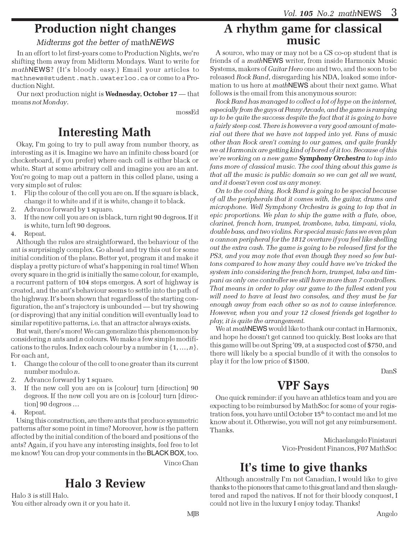# Production night changes

### Midterms got the better of mathNEWS

In an effort to let first-years come to Production Nights, we're shifting them away from Midterm Mondays. Want to write for mathNEWS? (It's bloody easy.) Email your articles to mathnews@student.math.uwaterloo.ca or come to a Production Night.

Our next production night is Wednesday, October 17 — that means not Monday.

mossEd

# Interesting Math

Okay, I'm going to try to pull away from number theory, as interesting as it is. Imagine we have an infinite chess board (or checkerboard, if you prefer) where each cell is either black or white. Start at some arbitrary cell and imagine you are an ant. You're going to map out a pattern in this celled plane, using a very simple set of rules:

- 1. Flip the colour of the cell you are on. If the square is black, change it to white and if it is white, change it to black.
- 2. Advance forward by 1 square.
- 3. If the new cell you are on is black, turn right 90 degrees. If it is white, turn left 90 degrees.
- 4. Repeat.

Although the rules are straightforward, the behaviour of the ant is surprisingly complex. Go ahead and try this out for some initial condition of the plane. Better yet, program it and make it display a pretty picture of what's happening in real time! When every square in the grid is initially the same colour, for example, a recurrent pattern of 104 steps emerges. A sort of highway is created, and the ant's behaviour seems to settle into the path of the highway. It's been shown that regardless of the starting configuration, the ant's trajectory is unbounded — but try showing (or disproving) that any initial condition will eventually lead to similar repetitive patterns, i.e. that an attractor always exists.

But wait, there's more! We can generalize this phenomenon by considering n ants and n colours. We make a few simple modifications to the rules. Index each colour by a number in  $\{1, ..., n\}$ . For each ant,

- 1. Change the colour of the cell to one greater than its current number modulo n.
- 2. Advance forward by 1 square.
- 3. If the new cell you are on is [colour] turn [direction] 90 degrees. If the new cell you are on is [colour] turn [direction] 90 degrees …
- 4. Repeat.

Using this construction, are there ants that produce symmetric patterns after some point in time? Moreover, how is the pattern affected by the initial condition of the board and positions of the ants? Again, if you have any interesting insights, feel free to let me know! You can drop your comments in the BLACK BOX, too.

# Halo 3 Review

Halo 3 is still Halo. You either already own it or you hate it.

### A rhythm game for classical music

A source, who may or may not be a CS co-op student that is friends of a *math*NEWS writer, from inside Harmonix Music Systems, makers of Guitar Hero one and two, and the soon to be released Rock Band, disregarding his NDA, leaked some information to us here at *math*NEWS about their next game. What follows is the email from this anonymous source:

Rock Band has managed to collect a lot of hype on the internet, especially from the guys at Penny Arcade, and the game is ramping up to be quite the success despite the fact that it is going to have a fairly steep cost. There is however a very good amount of material out there that we have not tapped into yet. Fans of music other than Rock aren't coming to our games, and quite frankly we at Harmonix are getting kind of bored of it too. Because of this we're working on a new game Symphony Orchestra to tap into fans more of classical music. The cool thing about this game is that all the music is public domain so we can get all we want, and it doesn't even cost us any money.

On to the cool thing. Rock Band is going to be special because of all the peripherals that it comes with, the guitar, drums and microphone. Well Symphony Orchestra is going to top that in epic proportions. We plan to ship the game with a flute, oboe, clarinet, french horn, trumpet, trombone, tuba, timpani, viola, double bass, and two violins. For special music fans we even plan a cannon peripheral for the 1812 overture if you feel like shelling out the extra cash. The game is going to be released first for the PS3, and you may note that even though they need so few buttons compared to how many they could have we've tricked the system into considering the french horn, trumpet, tuba and timpani as only one controller we still have more than 7 controllers. That means in order to play our game to the fullest extent you will need to have at least two consoles, and they must be far enough away from each other so as not to cause interference. However, when you and your 12 closest friends get together to play, it is quite the arrangement.

We at mathNEWS would like to thank our contact in Harmonix, and hope he doesn't get canned too quickly. Best looks are that this game will be out Spring '09, at a suspected cost of \$750, and there will likely be a special bundle of it with the consoles to play it for the low price of \$1500.

DanS

## VPF Says

One quick reminder: if you have an athletics team and you are expecting to be reimbursed by MathSoc for some of your registration fees, you have until October  $15<sup>th</sup>$  to contact me and let me know about it. Otherwise, you will not get any reimbursement. Thanks.

> Michaelangelo Finistauri Vice-President Finances, F07 MathSoc

# Vince Chan **It's time to give thanks**

Although ancestrally I'm not Canadian, I would like to give thanks to the pioneers that came to this great land and then slaughtered and raped the natives. If not for their bloody conquest, I could not live in the luxury I enjoy today. Thanks!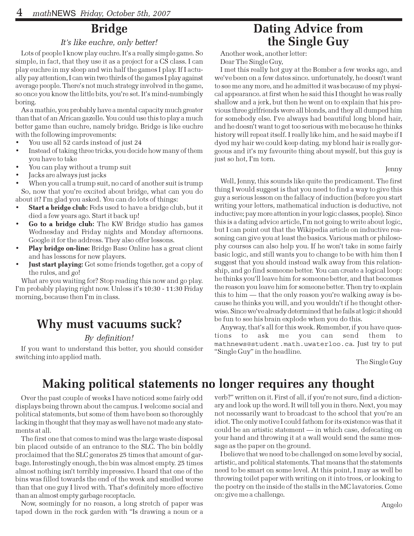# Bridge

### It's like euchre, only better!

Lots of people I know play euchre. It's a really simple game. So simple, in fact, that they use it as a project for a CS class. I can play euchre in my sleep and win half the games I play. If I actually pay attention, I can win two thirds of the games I play against average people. There's not much strategy involved in the game, so once you know the little bits, you're set. It's mind-numbingly boring.

As a mathie, you probably have a mental capacity much greater than that of an African gazelle. You could use this to play a much better game than euchre, namely bridge. Bridge is like euchre with the following improvements:

- You use all 52 cards instead of just 24
- Instead of taking three tricks, you decide how many of them you have to take
- You can play without a trump suit
- Jacks are always just jacks

When you call a trump suit, no card of another suit is trump So, now that you're excited about bridge, what can you do about it? I'm glad you asked. You can do lots of things:

- Start a bridge club: Feds used to have a bridge club, but it died a few years ago. Start it back up!
- Go to a bridge club: The KW Bridge studio has games Wednesday and Friday nights and Monday afternoons. Google it for the address. They also offer lessons.
- Play bridge on-line: Bridge Base Online has a great client and has lessons for new players.
- Just start playing: Get some friends together, get a copy of the rules, and go!

What are you waiting for? Stop reading this now and go play. I'm probably playing right now. Unless it's 10:30 - 11:30 Friday morning, because then I'm in class.

## Why must vacuums suck?

#### By definition!

If you want to understand this better, you should consider switching into applied math.

## Dating Advice from the Single Guy

Another week, another letter: Dear The Single Guy,

I met this really hot guy at the Bomber a few weeks ago, and we've been on a few dates since. unfortunately, he doesn't want to see me any more, and he admitted it was because of my physical appearance. at first when he said this I thought he was really shallow and a jerk, but then he went on to explain that his previous three girlfriends were all blonds, and they all dumped him for somebody else. I've always had beautiful long blond hair, and he doesn't want to get too serious with me because he thinks history will repeat itself. I really like him, and he said maybe if I dyed my hair we could keep dating. my blond hair is really gorgeous and it's my favourite thing about myself, but this guy is just so hot, I'm torn.

Jenny

Well, Jenny, this sounds like quite the predicament. The first thing I would suggest is that you need to find a way to give this guy a serious lesson on the fallacy of induction (before you start writing your letters, mathematical induction is deductive, not inductive; pay more attention in your logic classes, people). Since this is a dating advice article, I'm not going to write about logic, but I can point out that the Wikipedia article on inductive reasoning can give you at least the basics. Various math or philosophy courses can also help you. If he won't take in some fairly basic logic, and still wants you to change to be with him then I suggest that you should instead walk away from this relationship, and go find someone better. You can create a logical loop: he thinks you'll leave him for someone better, and that becomes the reason you leave him for someone better. Then try to explain this to him — that the only reason you're walking away is because he thinks you will, and you wouldn't if he thought otherwise. Since we've already determined that he fails at logic it should be fun to see his brain explode when you do this.

Anyway, that's all for this week. Remember, if you have questions to ask me you can send them to mathnews@student.math.uwaterloo.ca. Just try to put "Single Guy" in the headline.

The Single Guy

# Making political statements no longer requires any thought

Over the past couple of weeks I have noticed some fairly odd displays being thrown about the campus. I welcome social and political statements, but some of them have been so thoroughly lacking in thought that they may as well have not made any statements at all.

The first one that comes to mind was the large waste disposal bin placed outside of an entrance to the SLC. The bin boldly proclaimed that the SLC generates 25 times that amount of garbage. Interestingly enough, the bin was almost empty. 25 times almost nothing isn't terribly impressive. I heard that one of the bins was filled towards the end of the week and smelled worse than that one guy I lived with. That's definitely more effective than an almost empty garbage receptacle.

Now, seemingly for no reason, a long stretch of paper was taped down in the rock garden with "Is drawing a noun or a

verb?" written on it. First of all, if you're not sure, find a dictionary and look up the word. It will tell you in there. Next, you may not necessarily want to broadcast to the school that you're an idiot. The only motive I could fathom for its existence was that it could be an artistic statement — in which case, defecating on your hand and throwing it at a wall would send the same message as the paper on the ground.

I believe that we need to be challenged on some level by social, artistic, and political statements. That means that the statements need to be smart on some level. At this point, I may as well be throwing toilet paper with writing on it into trees, or looking to the poetry on the inside of the stalls in the MC lavatories. Come on: give me a challenge.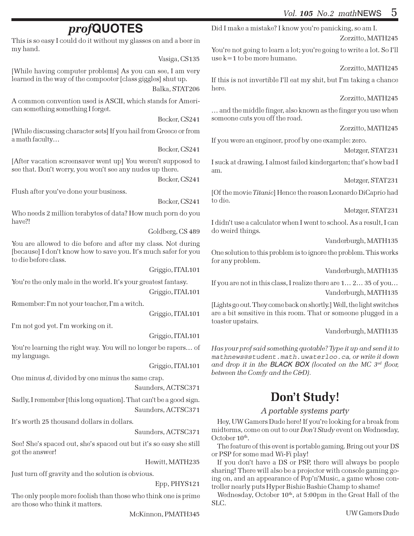# prof**QUOTES**

This is so easy I could do it without my glasses on and a beer in my hand.

Vasiga, CS135

[While having computer problems] As you can see, I am very learned in the way of the compooter [class giggles] shut up.

Balka, STAT206

A common convention used is ASCII, which stands for American something something I forget.

Becker, CS241

[While discussing character sets] If you hail from Greece or from a math faculty…

Becker, CS241

[After vacation screensaver went up] You weren't supposed to see that. Don't worry, you won't see any nudes up there.

Becker, CS241

Flush after you've done your business.

Becker, CS241

Who needs 2 million terabytes of data? How much porn do you have?!

Goldberg, CS 489

You are allowed to die before and after my class. Not during [because] I don't know how to save you. It's much safer for you to die before class.

Griggio, ITAL101

You're the only male in the world. It's your greatest fantasy.

Griggio, ITAL101

Remember: I'm not your teacher, I'm a witch.

Griggio, ITAL101

I'm not god yet. I'm working on it.

Griggio, ITAL101

You're learning the right way. You will no longer be rapers… of my language.

Griggio, ITAL101

One minus d, divided by one minus the same crap.

Saunders, ACTSC371

Sadly, I remember [this long equation]. That can't be a good sign. Saunders, ACTSC371

It's worth 25 thousand dollars in dollars.

Saunders, ACTSC371

See! She's spaced out, she's spaced out but it's so easy she still got the answer!

Hewitt, MATH235

Just turn off gravity and the solution is obvious.

Epp, PHYS121

The only people more foolish than those who think one is prime are those who think it matters.

McKinnon, PMATH345

Did I make a mistake? I know you're panicking, so am I.

Zorzitto, MATH245

You're not going to learn a lot; you're going to write a lot. So I'll use k=1 to be more humane.

Zorzitto, MATH245

If this is not invertible I'll eat my shit, but I'm taking a chance here.

Zorzitto, MATH245

… and the middle finger, also known as the finger you use when someone cuts you off the road.

Zorzitto, MATH245

If you were an engineer, proof by one example: zero.

Metzger, STAT231

I suck at drawing. I almost failed kindergarten; that's how bad I am.

Metzger, STAT231

[Of the movie Titanic] Hence the reason Leonardo DiCaprio had to die.

Metzger, STAT231

I didn't use a calculator when I went to school. As a result, I can do weird things.

Vanderburgh, MATH135

One solution to this problem is to ignore the problem. This works for any problem.

Vanderburgh, MATH135

If you are not in this class, I realize there are 1… 2… 35 of you… Vanderburgh, MATH135

[Lights go out. They come back on shortly.] Well, the light switches are a bit sensitive in this room. That or someone plugged in a toaster upstairs.

Vanderburgh, MATH135

Has your prof said something quotable? Type it up and send it to mathnews@student.math.uwaterloo.ca, or write it down and drop it in the BLACK BOX (located on the MC  $3^{rd}$  floor, between the Comfy and the C&D).

# Don't Study!

### A portable systems party

Hey, UW Gamers Dude here! If you're looking for a break from midterms, come on out to our *Don't Study* event on Wednesday, October  $10^{\text{th}}$ .

The feature of this event is portable gaming. Bring out your DS or PSP for some mad Wi-Fi play!

If you don't have a DS or PSP, there will always be people sharing! There will also be a projector with console gaming going on, and an appearance of Pop'n'Music, a game whose controller nearly puts Hyper Bishie Bashie Champ to shame!

Wednesday, October 10<sup>th</sup>, at 5:00pm in the Great Hall of the SLC.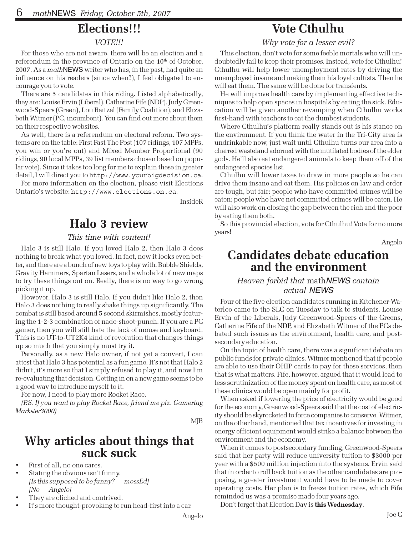## Elections!!!

#### VOTE!!!

For those who are not aware, there will be an election and a referendum in the province of Ontario on the  $10<sup>th</sup>$  of October, 2007. As a mathNEWS writer who has, in the past, had quite an influence on his readers (since when?), I feel obligated to encourage you to vote.

There are 5 candidates in this riding. Listed alphabetically, they are: Louise Ervin (Liberal), Catherine Fife (NDP), Judy Greenwood-Speers (Green), Lou Reitzel (Family Coalition), and Elizabeth Witmer (PC, incumbent). You can find out more about them on their respective websites.

As well, there is a referendum on electoral reform. Two systems are on the table: First Past The Post (107 ridings, 107 MPPs, you win or you're out) and Mixed Member Proportional (90 ridings, 90 local MPPs, 39 list members chosen based on popular vote). Since it takes too long for me to explain these in greater detail, I will direct you to http://www.yourbigdecision.ca.

For more information on the election, please visit Elections Ontario's website: http://www.elections.on.ca.

InsideR

# Halo 3 review

#### This time with content!

Halo 3 is still Halo. If you loved Halo 2, then Halo 3 does nothing to break what you loved. In fact, now it looks even better, and there are a bunch of new toys to play with. Bubble Shields, Gravity Hammers, Spartan Lasers, and a whole lot of new maps to try these things out on. Really, there is no way to go wrong picking it up.

However, Halo 3 is still Halo. If you didn't like Halo 2, then Halo 3 does nothing to really shake things up significantly. The combat is still based around 5 second skirmishes, mostly featuring the 1-2-3 combination of nade-shoot-punch. If you are a PC gamer, then you will still hate the lack of mouse and keyboard. This is no UT-to-UT2K4 kind of revolution that changes things up so much that you simply must try it.

Personally, as a new Halo owner, if not yet a convert, I can attest that Halo 3 has potential as a fun game. It's not that Halo 2 didn't, it's more so that I simply refused to play it, and now I'm re-evaluating that decision. Getting in on a new game seems to be a good way to introduce myself to it.

For now, I need to play more Rocket Race.

(P.S. If you want to play Rocket Race, friend me plz. Gamertag Markster3000)

MJB

### Why articles about things that suck suck

- First of all, no one cares.
- Stating the obvious isn't funny. [Is this supposed to be funny? — mossEd] [No — Angelo]
- They are cliched and contrived.
- It's more thought-provoking to run head-first into a car.

## Vote Cthulhu

Why vote for a lesser evil?

This election, don't vote for some feeble mortals who will undoubtedly fail to keep their promises. Instead, vote for Cthulhu! Cthulhu will help lower unemployment rates by driving the unemployed insane and making them his loyal cultists. Then he will eat them. The same will be done for transients.

He will improve health care by implementing effective techniques to help open spaces in hospitals by eating the sick. Education will be given another revamping when Cthulhu works first-hand with teachers to eat the dumbest students.

Where Cthulhu's platform really stands out is his stance on the environment. If you think the water in the Tri-City area is undrinkable now, just wait until Cthulhu turns our area into a charred wasteland adorned with the mutilated bodies of the elder gods. He'll also eat endangered animals to keep them off of the endangered species list.

Cthulhu will lower taxes to draw in more people so he can drive them insane and eat them. His policies on law and order are tough, but fair: people who have committed crimes will be eaten; people who have not committed crimes will be eaten. He will also work on closing the gap between the rich and the poor by eating them both.

So this provincial election, vote for Cthulhu! Vote for no more years!

Angelo

### Candidates debate education and the environment

### Heaven forbid that mathNEWS contain actual NEWS

Four of the five election candidates running in Kitchener-Waterloo came to the SLC on Tuesday to talk to students. Louise Ervin of the Liberals, Judy Greenwood-Speers of the Greens, Catherine Fife of the NDP, and Elizabeth Witmer of the PCs debated such issues as the environment, health care, and postsecondary education.

On the topic of health care, there was a significant debate on public funds for private clinics. Witmer mentioned that if people are able to use their OHIP cards to pay for these services, then that is what matters. Fife, however, argued that it would lead to less scrutinization of the money spent on health care, as most of these clinics would be open mainly for profit.

When asked if lowering the price of electricity would be good for the economy, Greenwood-Speers said that the cost of electricity should be skyrocketed to force companies to conserve. Witmer, on the other hand, mentioned that tax incentives for investing in energy efficient equipment would strike a balance between the environment and the economy.

When it comes to postsecondary funding, Greenwood-Speers said that her party will reduce university tuition to \$3000 per year with a \$500 million injection into the systems. Ervin said that in order to roll back tuition as the other candidates are proposing, a greater investment would have to be made to cover operating costs. Her plan is to freeze tuition rates, which Fife reminded us was a promise made four years ago.

Don't forget that Election Day is this Wednesday.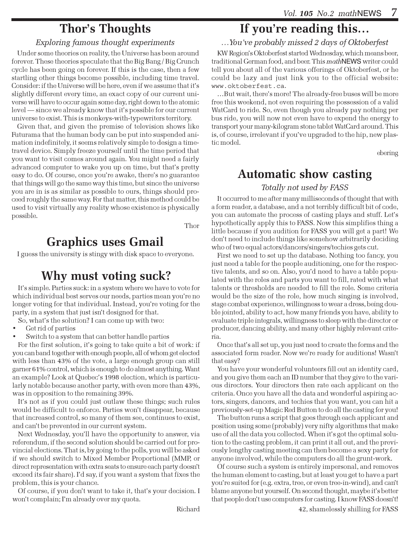# Thor's Thoughts

### Exploring famous thought experiments

Under some theories on reality, the Universe has been around forever. These theories speculate that the Big Bang / Big Crunch cycle has been going on forever. If this is the case, then a few startling other things become possible, including time travel. Consider: if the Universe will be here, even if we assume that it's slightly different every time, an exact copy of our current universe will have to occur again some day, right down to the atomic level — since we already know that it's possible for our current universe to exist. This is monkeys-with-typewriters territory.

Given that, and given the premise of television shows like Futurama that the human body can be put into suspended animation indefinitely, it seems relatively simple to design a timetravel device. Simply freeze yourself until the time period that you want to visit comes around again. You might need a fairly advanced computer to wake you up on time, but that's pretty easy to do. Of course, once you're awake, there's no guarantee that things will go the same way this time, but since the universe you are in is as similar as possible to ours, things should proceed roughly the same way. For that matter, this method could be used to visit virtually any reality whose existence is physically possible.

Thor

# Graphics uses Gmail

I guess the university is stingy with disk space to everyone.

# Why must voting suck?

It's simple. Parties suck: in a system where we have to vote for which individual best serves our needs, parties mean you're no longer voting for that individual. Instead, you're voting for the party, in a system that just isn't designed for that.

So, what's the solution? I can come up with two:

- Get rid of parties
- Switch to a system that can better handle parties

For the first solution, it's going to take quite a bit of work: if you can band together with enough people, all of whom get elected with less than 43% of the vote, a large enough group can still garner 61% control, which is enough to do almost anything. Want an example? Look at Quebec's 1998 election, which is particularly notable because another party, with even more than 43%, was in opposition to the remaining 39%.

It's not as if you could just outlaw these things; such rules would be difficult to enforce. Parties won't disappear, because that increased control, so many of them see, continues to exist, and can't be prevented in our current system.

Next Wednesday, you'll have the opportunity to answer, via referendum, if the second solution should be carried out for provincial elections. That is, by going to the polls, you will be asked if we should switch to Mixed Member Proportional (MMP, or direct representation with extra seats to ensure each party doesn't exceed its fair share). I'd say, if you want a system that fixes the problem, this is your chance.

Of course, if you don't want to take it, that's your decision. I won't complain; I'm already over my quota.

…You've probably missed 2 days of Oktoberfest

KW Region's Oktoberfest started Wednesday, which means beer, traditional German food, and beer. This mathNEWS writer could tell you about all of the various offerings of Oktoberfest, or he could be lazy and just link you to the official website: www.oktoberfest.ca.

…But wait, there's more! The already-free buses will be more free this weekend, not even requiring the possession of a valid WatCard to ride. So, even though you already pay nothing per bus ride, you will now not even have to expend the energy to transport your many-kilogram stone tablet WatCard around. This is, of course, irrelevant if you've upgraded to the hip, new plastic model.

ebering

## Automatic show casting

### Totally not used by FASS

It occurred to me after many milliseconds of thought that with a form reader, a database, and a not terribly difficult bit of code, you can automate the process of casting plays and stuff. Let's hypothetically apply this to FASS. Now this simplifies thing a little because if you audition for FASS you will get a part! We don't need to include things like somehow arbitrarily deciding who of two equal actors/dancers/singers/techies gets cut.

First we need to set up the database. Nothing too fancy, you just need a table for the people auditioning, one for the respective talents, and so on. Also, you'd need to have a table populated with the roles and parts you want to fill, rated with what talents or thresholds are needed to fill the role. Some criteria would be the size of the role, how much singing is involved, stage combat experience, willingness to wear a dress, being double jointed, ability to act, how many friends you have, ability to evaluate triple integrals, willingness to sleep with the director or producer, dancing ability, and many other highly relevant criteria.

Once that's all set up, you just need to create the forms and the associated form reader. Now we're ready for auditions! Wasn't that easy?

You have your wonderful volunteers fill out an identity card, and you give them each an ID number that they give to the various directors. Your directors then rate each applicant on the criteria. Once you have all the data and wonderful aspiring actors, singers, dancers, and techies that you want, you can hit a previously-set-up Magic Red Button to do all the casting for you!

The button runs a script that goes through each applicant and position using some (probably) very nifty algorithms that make use of all the data you collected. When it's got the optimal solution to the casting problem, it can print it all out, and the previously lengthy casting meeting can then become a sexy party for anyone involved, while the computers do all the grunt-work.

Of course such a system is entirely impersonal, and removes the human element to casting, but at least you get to have a part you're suited for (e.g. extra, tree, or even tree-in-wind), and can't blame anyone but yourself. On second thought, maybe it's better that people don't use computers for casting. I know FASS doesn't!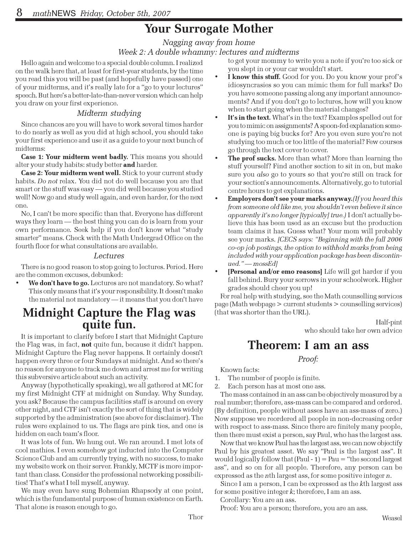# Your Surrogate Mother

### Nagging away from home Week 2: A double whammy: lectures and midterms

Hello again and welcome to a special double column. I realized on the walk here that, at least for first-year students, by the time you read this you will be past (and hopefully have passed) one of your midterms, and it's really late for a "go to your lectures" speech. But here's a better-late-than-never version which can help you draw on your first experience.

### Midterm studying

Since chances are you will have to work several times harder to do nearly as well as you did at high school, you should take your first experience and use it as a guide to your next bunch of midterms:

Case 1: Your midterm went badly. This means you should alter your study habits: study better and harder.

Case 2: Your midterm went well. Stick to your current study habits. Do not relax. You did not do well because you are that smart or the stuff was easy — you did well because you studied well! Now go and study well again, and even harder, for the next one.

No, I can't be more specific than that. Everyone has different ways they learn — the best thing you can do is learn from your own performance. Seek help if you don't know what "study smarter" means. Check with the Math Undergrad Office on the fourth floor for what consultations are available.

#### Lectures

There is no good reason to stop going to lectures. Period. Here are the common excuses, debunked:

We don't have to go. Lectures are not mandatory. So what? This only means that it's your responsibility. It doesn't make the material not mandatory — it means that you don't have

## Midnight Capture the Flag was quite fun.

It is important to clarify before I start that Midnight Capture the Flag was, in fact, **not** quite fun, because it didn't happen. Midnight Capture the Flag never happens. It certainly doesn't happen every three or four Sundays at midnight. And so there's no reason for anyone to track me down and arrest me for writing this subversive article about such an activity.

Anyway (hypothetically speaking), we all gathered at MC for my first Midnight CTF at midnight on Sunday. Why Sunday, you ask? Because the campus facilities staff is around on every other night, and CTF isn't exactly the sort of thing that is widely supported by the administration (see above for disclaimer). The rules were explained to us. The flags are pink ties, and one is hidden on each team's floor.

It was lots of fun. We hung out. We ran around. I met lots of cool mathies. I even somehow got inducted into the Computer Science Club and am currently trying, with no success, to make my website work on their server. Frankly, MCTF is more important than class. Consider the professional networking possibilities! That's what I tell myself, anyway.

We may even have sung Bohemian Rhapsody at one point, which is the fundamental purpose of human existence on Earth. That alone is reason enough to go.

to get your mommy to write you a note if you're too sick or you slept in or your car wouldn't start.

- I know this stuff. Good for you. Do you know your prof's idiosyncrasies so you can mimic them for full marks? Do you have someone passing along any important announcements? And if you don't go to lectures, how will you know when to start going when the material changes?
- It's in the text. What's in the text? Examples spelled out for you to mimic on assignments? A spoon-fed explanation someone is paying big bucks for? Are you even sure you're not studying too much or too little of the material? Few courses go through the text cover to cover.
- **The prof sucks.** More than what? More than learning the stuff yourself? Find another section to sit in on, but make sure you *also* go to yours so that you're still on track for your section's announcements. Alternatively, go to tutorial centre hours to get explanations.
- Employers don't see your marks anyway.(If you heard this from someone old like me, you shouldn't even believe it since apparently it's no longer [typically] true.) I don't actually believe this has been used as an excuse but the production team claims it has. Guess what? Your mom will probably see your marks. *[CECS says: "Beginning with the fall 2006* co-op job postings, the option to withhold marks from being included with your application package has been discontinued." — mossEd]
- [Personal and/or emo reasons] Life will get harder if you fall behind. Bury your sorrows in your schoolwork. Higher grades should cheer you up!

For real help with studying, see the Math counselling services page (Math webpage > current students > counselling services) (that was shorter than the URL).

> Half-pint who should take her own advice

## Theorem: I am an ass

Proof:

Known facts:

1. The number of people is finite.

2. Each person has at most one ass.

The mass contained in an ass can be objectively measured by a real number; therefore, ass-mass can be compared and ordered. (By definition, people without asses have an ass-mass of zero.) Now suppose we reordered all people in non-decreasing order with respect to ass-mass. Since there are finitely many people, then there must exist a person, say Paul, who has the largest ass.

Now that we know Paul has the largest ass, we can now objectify Paul by his greatest asset. We say "Paul is the largest ass". It would logically follow that  $(Paul - 1) = Paul = "the second largest$ ass", and so on for all people. Therefore, any person can be expressed as the *n*th largest ass, for some positive integer *n*.

Since I am a person, I can be expressed as the kth largest ass for some positive integer  $k$ ; therefore, I am an ass.

Corollary: You are an ass.

Proof: You are a person; therefore, you are an ass.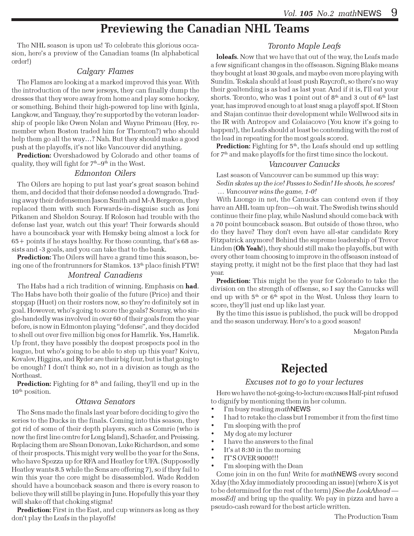## Previewing the Canadian NHL Teams

The NHL season is upon us! To celebrate this glorious occasion, here's a preview of the Canadian teams (In alphabetical order!)

#### Calgary Flames

The Flames are looking at a marked improved this year. With the introduction of the new jerseys, they can finally dump the dresses that they wore away from home and play some hockey, or something. Behind their high-powered top line with Iginla, Langkow, and Tanguay, they're supported by the veteran leadership of people like Owen Nolan and Wayne Primeau (Hey, remember when Boston traded him for Thornton?) who should help them go all the way…? Nah. But they should make a good push at the playoffs, it's not like Vancouver did anything.

Prediction: Overshadowed by Colorado and other teams of quality, they will fight for  $7<sup>th</sup>-9<sup>th</sup>$  in the West.

#### Edmonton Oilers

The Oilers are hoping to put last year's great season behind them, and decided that their defense needed a downgrade. Trading away their defensemen Jason Smith and M-A Bergeron, they replaced them with such Forwards-in-disguise such as Joni Pitkanen and Sheldon Souray. If Roloson had trouble with the defense last year, watch out this year! Their forwards should have a bounceback year with Hemsky being almost a lock for 65+ points if he stays healthy. For those counting, that's 68 assists and -3 goals, and you can take that to the bank.

Prediction: The Oilers will have a grand time this season, being one of the frontrunners for Stamkos.  $13<sup>th</sup>$  place finish FTW!

#### Montreal Canadiens

The Habs had a rich tradition of winning. Emphasis on had. The Habs have both their goalie of the future (Price) and their stopgap (Huet) on their rosters now, so they're definitely set in goal. However, who's going to score the goals? Souray, who single-handedly was involved in over 60 of their goals from the year before, is now in Edmonton playing "defense", and they decided to shell out over five million big ones for Hamrlik. Yes, Hamrlik. Up front, they have possibly the deepest prospects pool in the league, but who's going to be able to step up this year? Koivu, Kovalev, Higgins, and Ryder are their big four, but is that going to be enough? I don't think so, not in a division as tough as the Northeast.

**Prediction:** Fighting for  $8<sup>th</sup>$  and failing, they'll end up in the  $10<sup>th</sup>$  position.

#### Ottawa Senators

The Sens made the finals last year before deciding to give the series to the Ducks in the finals. Coming into this season, they got rid of some of their depth players, such as Comrie (who is now the first line centre for Long Island), Schaefer, and Preissing. Replacing them are Shean Donovan, Luke Richardson, and some of their prospects. This might very well be the year for the Sens, who have Spezza up for RFA and Heatley for UFA. (Supposedly Heatley wants 8.5 while the Sens are offering 7), so if they fail to win this year the core might be disassembled. Wade Redden should have a bounceback season and there is every reason to believe they will still be playing in June. Hopefully this year they will shake off that choking stigma!

Prediction: First in the East, and cup winners as long as they don't play the Leafs in the playoffs!

#### Toronto Maple Leafs

loleafs. Now that we have that out of the way, the Leafs made a few significant changes in the offseason. Signing Blake means they bought at least 30 goals, and maybe even more playing with Sundin. Toskala should at least push Raycroft, so there's no way their goaltending is as bad as last year. And if it is, I'll eat your shorts. Toronto, who was 1 point out of  $8<sup>th</sup>$  and 3 out of  $6<sup>th</sup>$  last year, has improved enough to at least snag a playoff spot. If Steen and Stajan continue their development while Wellwood sits in the IR with Antropov and Colaiacovo (You know it's going to happen!), the Leafs should at least be contending with the rest of the lead in repeating for the most goals scored.

Prediction: Fighting for  $5<sup>th</sup>$ , the Leafs should end up settling for 7<sup>th</sup> and make playoffs for the first time since the lockout.

#### Vancouver Canucks

Last season of Vancouver can be summed up this way: Sedin skates up the ice! Passes to Sedin! He shoots, he scores! … Vancouver wins the game, 1-0!

With Luongo in net, the Canucks can contend even if they have an AHL team up fron—oh wait. The Swedish twins should continue their fine play, while Naslund should come back with a 70 point bounceback season. But outside of those three, who do they have? They don't even have all-star candidate Rory Fitzpatrick anymore! Behind the supreme leadership of Trevor Linden (Oh Yeah!), they should still make the playoffs, but with every other team choosing to improve in the offseason instead of staying pretty, it might not be the first place that they had last year.

Prediction: This might be the year for Colorado to take the division on the strength of offsense, so I say the Canucks will end up with  $5<sup>th</sup>$  or  $6<sup>th</sup>$  spot in the West. Unless they learn to score, they'll just end up like last year.

By the time this issue is published, the puck will be dropped and the season underway. Here's to a good season!

Megaton Panda

# Rejected

#### Excuses not to go to your lectures

Here we have the not-going-to-lecture excuses Half-pint refused to dignify by mentioning them in her column.

- I'm busy reading mathNEWS
- I had to retake the class but I remember it from the first time
- I'm sleeping with the prof
- My dog ate my lecturer
- I have the answers to the final
- It's at 8:30 in the morning
- IT'S OVER 9000!!!
- I'm sleeping with the Dean

Come join in on the fun! Write for mathNEWS every second Xday (the Xday immediately preceeding an issue) (where X is yet to be determined for the rest of the term) [See the LookAhead mossEd] and bring up the quality. We pay in pizza and have a pseudo-cash reward for the best article written.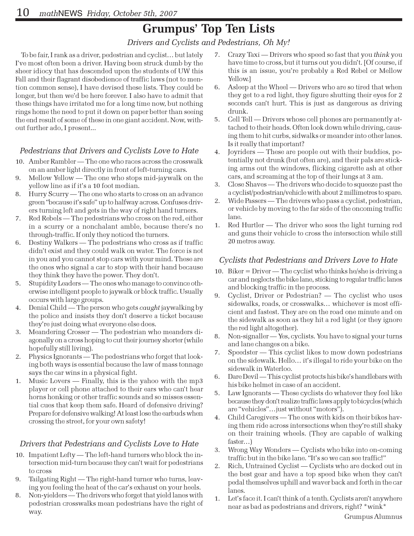# Grumpus' Top Ten Lists

Drivers and Cyclists and Pedestrians, Oh My!

To be fair, I rank as a driver, pedestrian and cyclist… but lately I've most often been a driver. Having been struck dumb by the sheer idiocy that has descended upon the students of UW this Fall and their flagrant disobedience of traffic laws (not to mention common sense), I have devised these lists. They could be longer, but then we'd be here forever. I also have to admit that these things have irritated me for a long time now, but nothing rings home the need to put it down on paper better than seeing the end result of some of these in one giant accident. Now, without further ado, I present...

### Pedestrians that Drivers and Cyclists Love to Hate

- 10. Amber Rambler The one who races across the crosswalk on an amber light directly in front of left-turning cars.
- 9. Mellow Yellow The one who stops mid-jaywalk on the yellow line as if it's a 10 foot median.
- 8. Hurry Scurry The one who starts to cross on an advance green "because it's safe" up to halfway across. Confuses drivers turning left and gets in the way of right hand turners.
- 7. Red Rebels The pedestrians who cross on the red, either in a scurry or a nonchalant amble, because there's no through-traffic. If only they noticed the turners.
- 6. Destiny Walkers The pedestrians who cross as if traffic didn't exist and they could walk on water. The force is not in you and you cannot stop cars with your mind. These are the ones who signal a car to stop with their hand because they think they have the power. They don't.
- 5. Stupidity Leaders The ones who manage to convince otherwise intelligent people to jaywalk or block traffic. Usually occurs with large groups.
- 4. Denial Child The person who gets *caught* jaywalking by the police and insists they don't deserve a ticket because they're just doing what everyone else does.
- 3. Meandering Crosser The pedestrian who meanders diagonally on a cross hoping to cut their journey shorter (while hopefully still living).
- 2. Physics Ignorants The pedestrians who forget that looking both ways is essential because the law of mass tonnage says the car wins in a physical fight.
- 1. Music Lovers Finally, this is the yahoo with the mp3 player or cell phone attached to their ears who can't hear horns honking or other traffic sounds and so misses essential cues that keep them safe. Heard of defensive driving? Prepare for defensive walking! At least lose the earbuds when crossing the street, for your own safety!

### Drivers that Pedestrians and Cyclists Love to Hate

- 10. Impatient Lefty The left-hand turners who block the intersection mid-turn because they can't wait for pedestrians to cross
- 9. Tailgating Right The right-hand turner who turns, leaving you feeling the heat of the car's exhaust on your heels.
- 8. Non-yielders The drivers who forget that yield lanes with pedestrian crosswalks mean pedestrians have the right of way.
- 7. Crazy Taxi Drivers who speed so fast that you think you have time to cross, but it turns out you didn't. [Of course, if this is an issue, you're probably a Red Rebel or Mellow Yellow.]
- 6. Asleep at the Wheel Drivers who are so tired that when they get to a red light, they figure shutting their eyes for 2 seconds can't hurt. This is just as dangerous as driving drunk.
- 5. Cell Tell Drivers whose cell phones are permanently attached to their heads. Often look down while driving, causing them to hit curbs, sidwalks or meander into other lanes. Is it really that important?
- 4. Joyriders These are people out with their buddies, potentially not drunk (but often are), and their pals are sticking arms out the windows, flicking cigarette ash at other cars, and screaming at the top of their lungs at 3 am.
- 3. Close Shaves The drivers who decide to squeeze past the a cyclist/pedestrian/vehicle with about 2 millimetres to spare.
- 2. Wide Passers The drivers who pass a cyclist, pedestrian, or vehicle by moving to the far side of the oncoming traffic lane.
- 1. Red Hurtler The driver who sees the light turning red and guns their vehicle to cross the intersection while still 20 metres away.

### Cyclists that Pedestrians and Drivers Love to Hate

- 10. Biker = Driver The cyclist who thinks he/she is driving a car and neglects the bike lane, sticking to regular traffic lanes and blocking traffic in the process.
- 9. Cyclist, Driver or Pedestrian? The cyclist who uses sidewalks, roads, or crosswalks… whichever is most efficient and fastest. They are on the road one minute and on the sidewalk as soon as they hit a red light (or they ignore the red light altogether).
- 8. Non-signaller Yes, cyclists. You have to signal your turns and lane changes on a bike.
- 7. Speedster This cyclist likes to mow down pedestrians on the sidewalk. Hello… it's illegal to ride your bike on the sidewalk in Waterloo.
- 6. Dare Devil This cyclist protects his bike's handlebars with his bike helmet in case of an accident.
- 5. Law Ignorants These cyclists do whatever they feel like because they don't realize traffic laws apply to bicycles (which are "vehicles"…just without "motors").
- 4. Child Caregivers The ones with kids on their bikes having them ride across intersections when they're still shaky on their training wheels. (They are capable of walking faster…)
- 3. Wrong Way Wonders Cyclists who bike into on-coming traffic but in the bike lane. "It's so we can see traffic!"
- 2. Rich, Untrained Cyclist Cyclists who are decked out in the best gear and have a top speed bike when they can't pedal themselves uphill and waver back and forth in the car lanes.
- 1. Let's face it. I can't think of a tenth. Cyclists aren't anywhere near as bad as pedestrians and drivers, right? \*wink\*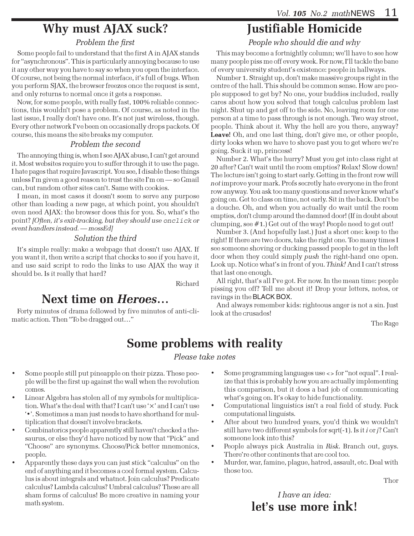# Why must AJAX suck?

### Problem the first

Some people fail to understand that the first A in AJAX stands for "asynchronous". This is particularly annoying because to use it any other way you have to say so when you open the interface. Of course, not being the normal interface, it's full of bugs. When you perform SJAX, the browser freezes once the request is sent, and only returns to normal once it gets a response.

Now, for some people, with really fast, 100% reliable connections, this wouldn't pose a problem. Of course, as noted in the last issue, I really don't have one. It's not just wireless, though. Every other network I've been on occasionally drops packets. Of course, this means the site breaks my computer.

#### Problem the second

The annoying thing is, when I see AJAX abuse, I can't get around it. Most websites require you to suffer through it to use the page. I hate pages that require Javascript. You see, I disable these things unless I'm given a good reason to trust the site I'm on — so Gmail can, but random other sites can't. Same with cookies.

I mean, in most cases it doesn't seem to serve any purpose other than loading a new page, at which point, you shouldn't even need AJAX: the browser does this for you. So, what's the point? [Often, it's exit-tracking, but they should use onclick or event handlers instead. — mossEd]

### Solution the third

It's simple really: make a webpage that doesn't use AJAX. If you want it, then write a script that checks to see if you have it, and use said script to redo the links to use AJAX the way it should be. Is it really that hard?

Richard

## Next time on Heroes…

Forty minutes of drama followed by five minutes of anti-climatic action. Then "To be dragged out…"

# Justifiable Homicide

People who should die and why

This may become a fortnightly column; we'll have to see how many people piss me off every week. For now, I'll tackle the bane of every university student's existence: people in hallways.

Number 1. Straight up, don't make massive groups right in the centre of the hall. This should be common sense. How are people supposed to get by? No one, your buddies included, really cares about how you solved that tough calculus problem last night. Shut up and get off to the side. No, leaving room for one person at a time to pass through is not enough. Two way street, people. Think about it. Why the hell are you there, anyway? Leave! Oh, and one last thing, don't give me, or other people, dirty looks when we have to shove past you to get where we're going. Suck it up, princess!

Number 2. What's the hurry? Must you get into class right at 20 after? Can't wait until the room empties? Relax! Slow down! The lecture isn't going to start early. Getting in the front row will not improve your mark. Profs secretly hate everyone in the front row anyway. You ask too many questions and never know what's going on. Get to class on time, not early. Sit in the back. Don't be a douche. Oh, and when you actually do wait until the room empties, don't clump around the damned door! (If in doubt about clumping, see #1.) Get out of the way! People need to get out!

Number 3. (And hopefully last.) Just a short one: keep to the right! If there are two doors, take the right one. Too many times I see someone shoving or ducking passed people to get in the left door when they could simply push the right-hand one open. Look up. Notice what's in front of you. Think! And I can't stress that last one enough.

All right, that's all I've got. For now. In the mean time: people pissing you off? Tell me about it! Drop your letters, notes, or ravings in the BLACK BOX.

And always remember kids: righteous anger is not a sin. Just look at the crusades!

The Rage

# Some problems with reality

#### Please take notes

- Some people still put pineapple on their pizza. These people will be the first up against the wall when the revolution comes.
- Linear Algebra has stolen all of my symbols for multiplication. What's the deal with that? I can't use '×' and I can't use '•'. Sometimes a man just needs to have shorthand for multiplication that doesn't involve brackets.
- Combinatorics people apparently still haven't checked a thesaurus, or else they'd have noticed by now that "Pick" and "Choose" are synonyms. Choose/Pick better mnemonics, people.
- Apparently these days you can just stick "calculus" on the end of anything and it becomes a cool formal system. Calculus is about integrals and whatnot. Join calculus? Predicate calculus? Lambda calculus? Umbral calculus? These are all sham forms of calculus! Be more creative in naming your math system.
- Some programming languages use <> for "not equal". I realize that this is probably how you are actually implementing this comparison, but it does a bad job of communicating what's going on. It's okay to hide functionality.
- Computational linguistics isn't a real field of study. Fuck computational linguists.
- After about two hundred years, you'd think we wouldn't still have two different symbols for sqrt(-1). Is it i or j? Can't someone look into this?
- People always pick Australia in Risk. Branch out, guys. There're other continents that are cool too.
- Murder, war, famine, plague, hatred, assault, etc. Deal with those too.

Thor

I have an idea: let's use more ink!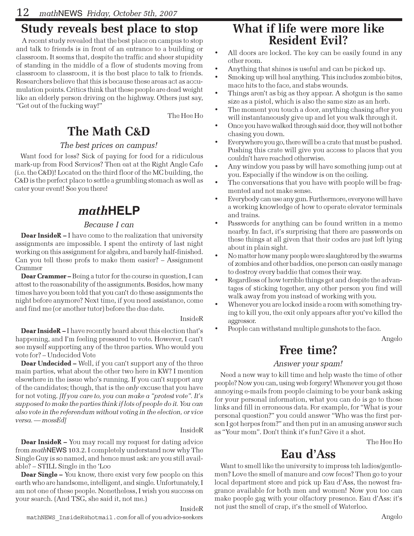# Study reveals best place to stop

A recent study revealed that the best place on campus to stop and talk to friends is in front of an entrance to a building or classroom. It seems that, despite the traffic and sheer stupidity of standing in the middle of a flow of students moving from classroom to classroom, it is the best place to talk to friends. Researchers believe that this is because these areas act as accumulation points. Critics think that these people are dead weight like an elderly person driving on the highway. Others just say, "Get out of the fucking way!"

The Hee Ho

# The Math C&D

### The best prices on campus!

Want food for less? Sick of paying for food for a ridiculous mark-up from Food Services? Then eat at the Right Angle Cafe (i.e. the C&D)! Located on the third floor of the MC building, the C&D is the perfect place to settle a grumbling stomach as well as cater your event! See you there!

## math**HELP**

### Because I can

**Dear InsideR** – I have come to the realization that university assignments are impossible. I spent the entirety of last night working on this assignment for algebra, and barely half-finished. Can you tell these profs to make them easier? – Assignment Crammer

Dear Crammer – Being a tutor for the course in question, I can attest to the reasonability of the assignments. Besides, how many times have you been told that you can't do these assignments the night before anymore? Next time, if you need assistance, come and find me (or another tutor) before the due date.

#### InsideR

Dear InsideR – I have recently heard about this election that's happening, and I'm feeling pressured to vote. However, I can't see myself supporting any of the three parties. Who would you vote for? – Undecided Vote

Dear Undecided – Well, if you can't support any of the three main parties, what about the other two here in KW? I mention elsewhere in the issue who's running. If you can't support any of the candidates; though, that is the only excuse that you have for not voting. [If you care to, you can make a "protest vote". It's supposed to make the parties think if lots of people do it. You can also vote in the referendum without voting in the election, or vice versa. — mossEd]

#### InsideR

**Dear InsideR –** You may recall my request for dating advice from mathNEWS 103.2. I completely understand now why The Single Guy is so named, and hence must ask: are you still available? – STILL Single in the 'Loo

**Dear Single –** You know, there exist very few people on this earth who are handsome, intelligent, and single. Unfortunately, I am not one of these people. Nonetheless, I wish you success on your search. (And TSG, she said it, not me.)

#### InsideR

## What if life were more like Resident Evil?

- All doors are locked. The key can be easily found in any other room.
- Anything that shines is useful and can be picked up.
- Smoking up will heal anything. This includes zombie bites, mace hits to the face, and stabs wounds.
- Things aren't as big as they appear. A shotgun is the same size as a pistol, which is also the same size as an herb.
- The moment you touch a door, anything chasing after you will instantaneously give up and let you walk through it.
- Once you have walked through said door, they will not bother chasing you down.
- Everywhere you go, there will be a crate that must be pushed. Pushing this crate will give you access to places that you couldn't have reached otherwise.
- Any window you pass by will have something jump out at you. Especially if the window is on the ceiling.
- The conversations that you have with people will be fragmented and not make sense.
- Everybody can use any gun. Furthermore, everyone will have a working knowledge of how to operate elevator terminals and trains.
- Passwords for anything can be found written in a memo nearby. In fact, it's surprising that there are passwords on these things at all given that their codes are just left lying about in plain sight.
- No matter how many people were slaughtered by the swarms of zombies and other baddies, one person can easily manage to destroy every baddie that comes their way.
- Regardless of how terrible things get and despite the advantages of sticking together, any other person you find will walk away from you instead of working with you.
- Whenever you are locked inside a room with something trying to kill you, the exit only appears after you've killed the aggressor.
- People can withstand multiple gunshots to the face.

Angelo

# Free time?

### Answer your spam!

Need a new way to kill time and help waste the time of other people? Now you can, using web forgery! Whenever you get those annoying e-mails from people claiming to be your bank asking for your personal information, what you can do is go to those links and fill in erroneous data. For example, for "What is your personal question?" you could answer "Who was the first person I got herpes from?" and then put in an amusing answer such as "Your mom". Don't think it's fun? Give it a shot.

The Hee Ho

# Eau d'Ass

Want to smell like the university to impress teh ladies/gentlemen? Love the smell of manure and cow feces? Then go to your local department store and pick up Eau d'Ass, the newest fragrance available for both men and women! Now you too can make people gag with your olfactory presence. Eau d'Ass: it's not just the smell of crap, it's the smell of Waterloo.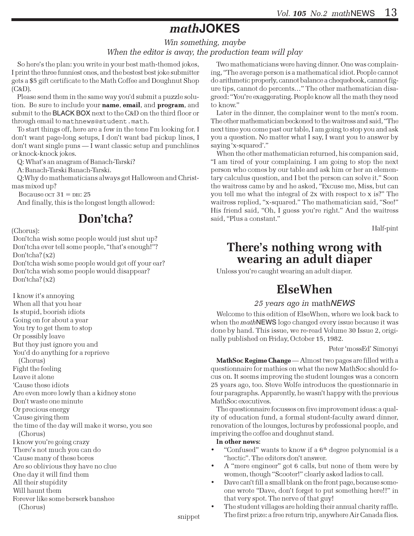# math**JOKES**

#### Win something, maybe When the editor is away, the production team will play

So here's the plan: you write in your best math-themed jokes, I print the three funniest ones, and the bestest best joke submitter gets a \$5 gift certificate to the Math Coffee and Doughnut Shop (C&D).

Please send them in the same way you'd submit a puzzle solution. Be sure to include your name, email, and program, and submit to the BLACK BOX next to the C&D on the third floor or through email to mathnews@student.math.

To start things off, here are a few in the tone I'm looking for. I don't want page-long setups, I don't want bad pickup lines, I don't want single puns — I want classic setup and punchlines or knock-knock jokes.

Q: What's an anagram of Banach-Tarski?

A: Banach-Tarski Banach-Tarski.

Q:Why do mathematicians always get Halloween and Christmas mixed up?

Because  $OCT$  31 = DEC 25

And finally, this is the longest length allowed:

## Don'tcha?

#### (Chorus):

 Don'tcha wish some people would just shut up? Don'tcha ever tell some people, "that's enough!"? Don'tcha? (x2) Don'tcha wish some people would get off your ear? Don'tcha wish some people would disappear?

Don'tcha? (x2)

 I know it's annoying When all that you hear Is stupid, boorish idiots Going on for about a year You try to get them to stop Or possibly leave But they just ignore you and You'd do anything for a reprieve (Chorus) Fight the feeling Leave it alone 'Cause these idiots Are even more lowly than a kidney stone Don't waste one minute Or precious energy 'Cause giving them the time of the day will make it worse, you see (Chorus) I know you're going crazy There's not much you can do 'Cause many of these bores Are so oblivious they have no clue One day it will find them All their stupidity Will haunt them Forever like some berserk banshee (Chorus)

Two mathematicians were having dinner. One was complaining, "The average person is a mathematical idiot. People cannot do arithmetic properly, cannot balance a chequebook, cannot figure tips, cannot do percents…" The other mathematician disagreed: "You're exaggerating. People know all the math they need to know."

Later in the dinner, the complainer went to the men's room. The other mathematician beckoned to the waitress and said, "The next time you come past our table, I am going to stop you and ask you a question. No matter what I say, I want you to answer by saying 'x-squared'."

When the other mathematician returned, his companion said, "I am tired of your complaining. I am going to stop the next person who comes by our table and ask him or her an elementary calculus question, and I bet the person can solve it." Soon the waitress came by and he asked, "Excuse me, Miss, but can you tell me what the integral of 2x with respect to x is?" The waitress replied, "x-squared." The mathematician said, "See!" His friend said, "Oh, I guess you're right." And the waitress said, "Plus a constant."

Half-pint

## There's nothing wrong with wearing an adult diaper

Unless you're caught wearing an adult diaper.

# ElseWhen

### 25 years ago in mathNEWS

Welcome to this edition of ElseWhen, where we look back to when the mathNEWS logo changed every issue because it was done by hand. This issue, we re-read Volume 30 Issue 2, originally published on Friday, October 15, 1982.

#### Peter 'mossEd' Simonyi

MathSoc Regime Change — Almost two pages are filled with a questionnaire for mathies on what the new MathSoc should focus on. It seems improving the student lounges was a concern 25 years ago, too. Steve Wolfe introduces the questionnarie in four paragraphs. Apparently, he wasn't happy with the previous MathSoc executives.

The questionnaire focusses on five improvement ideas: a quality of education fund, a formal student-faculty award dinner, renovation of the lounges, lectures by professional people, and impriving the coffee and doughnut stand.

#### In other news:

- "Confused" wants to know if a  $6<sup>th</sup>$  degree polynomial is a "hectic". The editors don't answer.
- A "mere engineer" got 6 calls, but none of them were by women, though "Scooter!" clearly asked ladies to call.
- Dave can't fill a small blank on the front page, because someone wrote "Dave, don't forget to put something here!!" in that very spot. The nerve of that guy!
- The student villages are holding their annual charity raffle. The first prize: a free return trip, anywhere Air Canada flies.